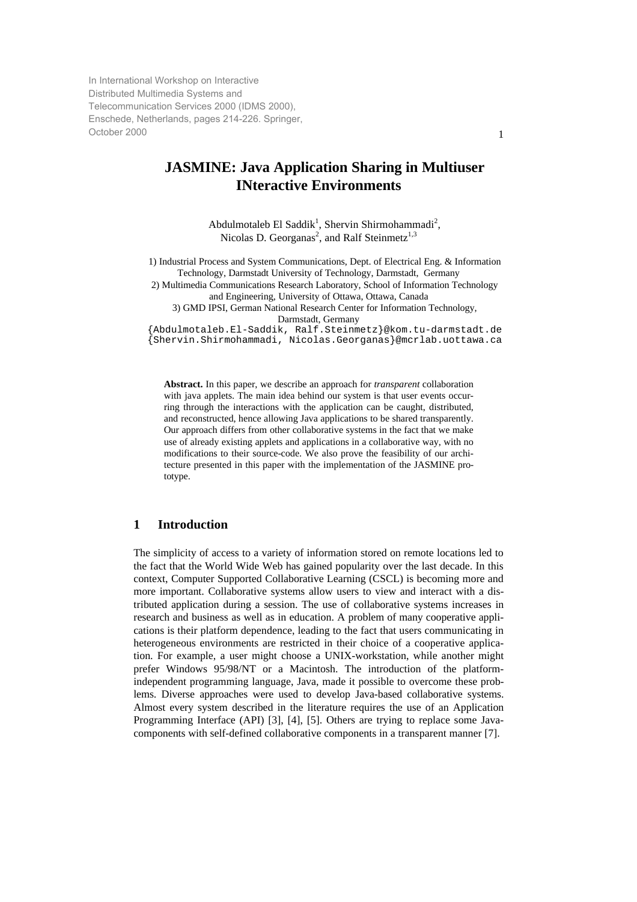In International Workshop on Interactive Distributed Multimedia Systems and Telecommunication Services 2000 (IDMS 2000), Enschede, Netherlands, pages 214-226. Springer, October 2000

# **JASMINE: Java Application Sharing in Multiuser INteractive Environments**

Abdulmotaleb El Saddik<sup>1</sup>, Shervin Shirmohammadi<sup>2</sup>, Nicolas D. Georganas<sup>2</sup>, and Ralf Steinmetz<sup>1,3</sup>

1) Industrial Process and System Communications, Dept. of Electrical Eng. & Information Technology, Darmstadt University of Technology, Darmstadt, Germany

2) Multimedia Communications Research Laboratory, School of Information Technology and Engineering, University of Ottawa, Ottawa, Canada

3) GMD IPSI, German National Research Center for Information Technology,

Darmstadt, Germany

{Abdulmotaleb.El-Saddik, Ralf.Steinmetz}@kom.tu-darmstadt.de {Shervin.Shirmohammadi, Nicolas.Georganas}@mcrlab.uottawa.ca

**Abstract.** In this paper, we describe an approach for *transparent* collaboration with java applets. The main idea behind our system is that user events occurring through the interactions with the application can be caught, distributed, and reconstructed, hence allowing Java applications to be shared transparently. Our approach differs from other collaborative systems in the fact that we make use of already existing applets and applications in a collaborative way, with no modifications to their source-code. We also prove the feasibility of our architecture presented in this paper with the implementation of the JASMINE prototype.

# **1 Introduction**

The simplicity of access to a variety of information stored on remote locations led to the fact that the World Wide Web has gained popularity over the last decade. In this context, Computer Supported Collaborative Learning (CSCL) is becoming more and more important. Collaborative systems allow users to view and interact with a distributed application during a session. The use of collaborative systems increases in research and business as well as in education. A problem of many cooperative applications is their platform dependence, leading to the fact that users communicating in heterogeneous environments are restricted in their choice of a cooperative application. For example, a user might choose a UNIX-workstation, while another might prefer Windows 95/98/NT or a Macintosh. The introduction of the platformindependent programming language, Java, made it possible to overcome these problems. Diverse approaches were used to develop Java-based collaborative systems. Almost every system described in the literature requires the use of an Application Programming Interface (API) [3], [4], [5]. Others are trying to replace some Javacomponents with self-defined collaborative components in a transparent manner [7].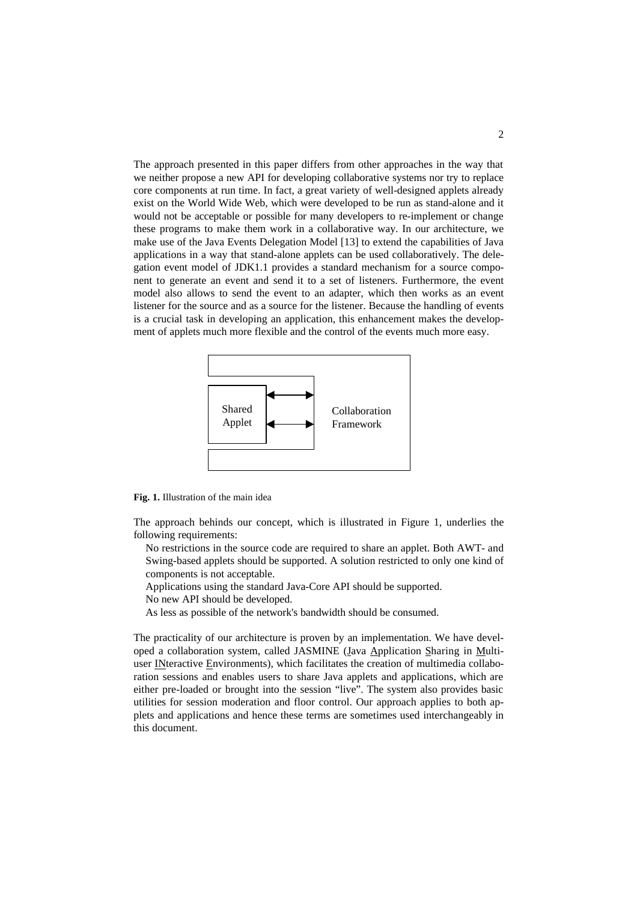The approach presented in this paper differs from other approaches in the way that we neither propose a new API for developing collaborative systems nor try to replace core components at run time. In fact, a great variety of well-designed applets already exist on the World Wide Web, which were developed to be run as stand-alone and it would not be acceptable or possible for many developers to re-implement or change these programs to make them work in a collaborative way. In our architecture, we make use of the Java Events Delegation Model [13] to extend the capabilities of Java applications in a way that stand-alone applets can be used collaboratively. The delegation event model of JDK1.1 provides a standard mechanism for a source component to generate an event and send it to a set of listeners. Furthermore, the event model also allows to send the event to an adapter, which then works as an event listener for the source and as a source for the listener. Because the handling of events is a crucial task in developing an application, this enhancement makes the development of applets much more flexible and the control of the events much more easy.



**Fig. 1.** Illustration of the main idea

The approach behinds our concept, which is illustrated in Figure 1, underlies the following requirements:

No restrictions in the source code are required to share an applet. Both AWT- and Swing-based applets should be supported. A solution restricted to only one kind of components is not acceptable.

Applications using the standard Java-Core API should be supported.

No new API should be developed.

As less as possible of the network's bandwidth should be consumed.

The practicality of our architecture is proven by an implementation. We have developed a collaboration system, called JASMINE (Java Application Sharing in Multiuser INteractive Environments), which facilitates the creation of multimedia collaboration sessions and enables users to share Java applets and applications, which are either pre-loaded or brought into the session "live". The system also provides basic utilities for session moderation and floor control. Our approach applies to both applets and applications and hence these terms are sometimes used interchangeably in this document.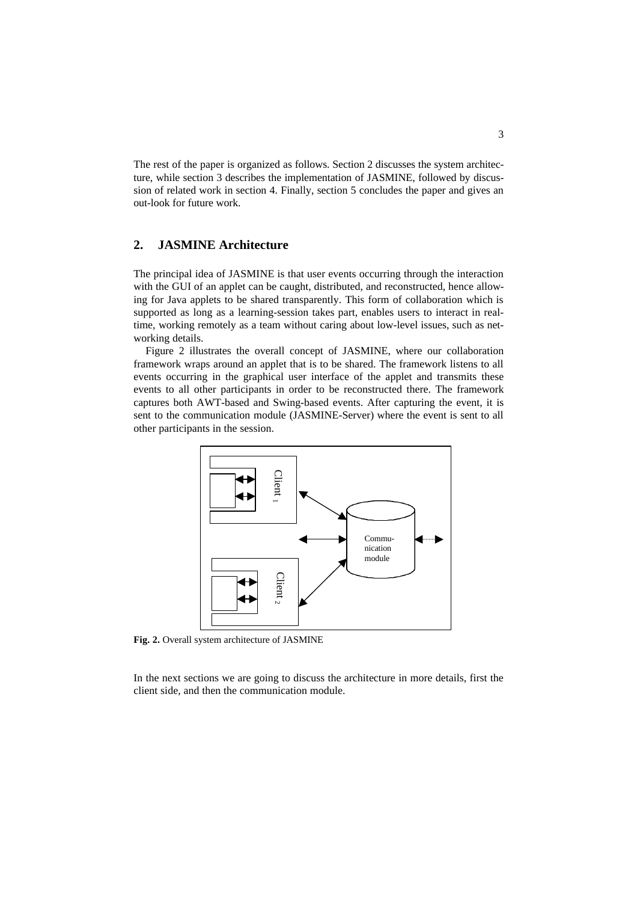The rest of the paper is organized as follows. Section 2 discusses the system architecture, while section 3 describes the implementation of JASMINE, followed by discussion of related work in section 4. Finally, section 5 concludes the paper and gives an out-look for future work.

# **2. JASMINE Architecture**

The principal idea of JASMINE is that user events occurring through the interaction with the GUI of an applet can be caught, distributed, and reconstructed, hence allowing for Java applets to be shared transparently. This form of collaboration which is supported as long as a learning-session takes part, enables users to interact in realtime, working remotely as a team without caring about low-level issues, such as networking details.

Figure 2 illustrates the overall concept of JASMINE, where our collaboration framework wraps around an applet that is to be shared. The framework listens to all events occurring in the graphical user interface of the applet and transmits these events to all other participants in order to be reconstructed there. The framework captures both AWT-based and Swing-based events. After capturing the event, it is sent to the communication module (JASMINE-Server) where the event is sent to all other participants in the session.



**Fig. 2.** Overall system architecture of JASMINE

In the next sections we are going to discuss the architecture in more details, first the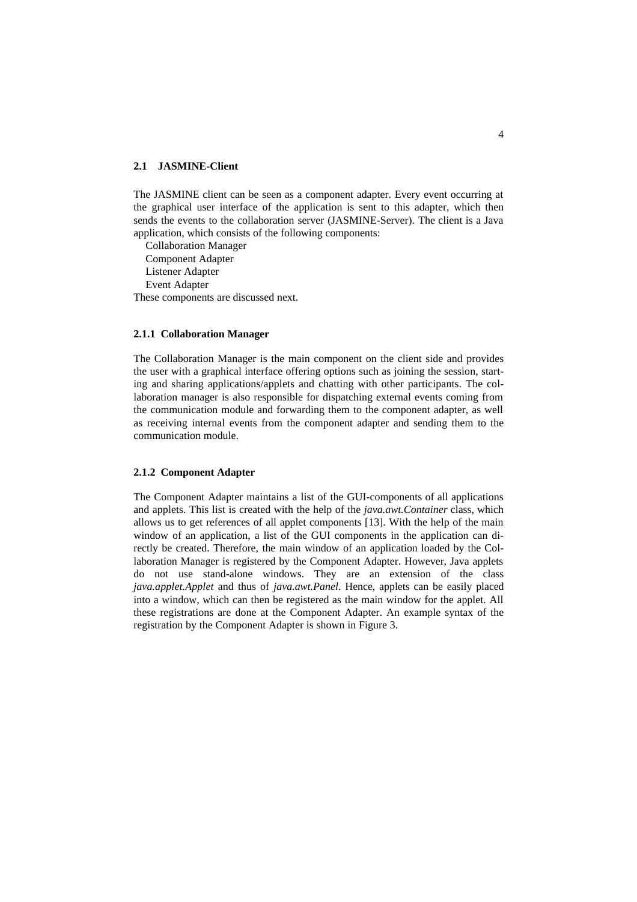## **2.1 JASMINE-Client**

The JASMINE client can be seen as a component adapter. Every event occurring at the graphical user interface of the application is sent to this adapter, which then sends the events to the collaboration server (JASMINE-Server). The client is a Java application, which consists of the following components:

Collaboration Manager Component Adapter Listener Adapter Event Adapter These components are discussed next.

#### **2.1.1 Collaboration Manager**

The Collaboration Manager is the main component on the client side and provides the user with a graphical interface offering options such as joining the session, starting and sharing applications/applets and chatting with other participants. The collaboration manager is also responsible for dispatching external events coming from the communication module and forwarding them to the component adapter, as well as receiving internal events from the component adapter and sending them to the communication module.

#### **2.1.2 Component Adapter**

The Component Adapter maintains a list of the GUI-components of all applications and applets. This list is created with the help of the *java.awt.Container* class, which allows us to get references of all applet components [13]. With the help of the main window of an application, a list of the GUI components in the application can directly be created. Therefore, the main window of an application loaded by the Collaboration Manager is registered by the Component Adapter. However, Java applets do not use stand-alone windows. They are an extension of the class *java.applet.Applet* and thus of *java.awt.Panel*. Hence, applets can be easily placed into a window, which can then be registered as the main window for the applet. All these registrations are done at the Component Adapter. An example syntax of the registration by the Component Adapter is shown in Figure 3.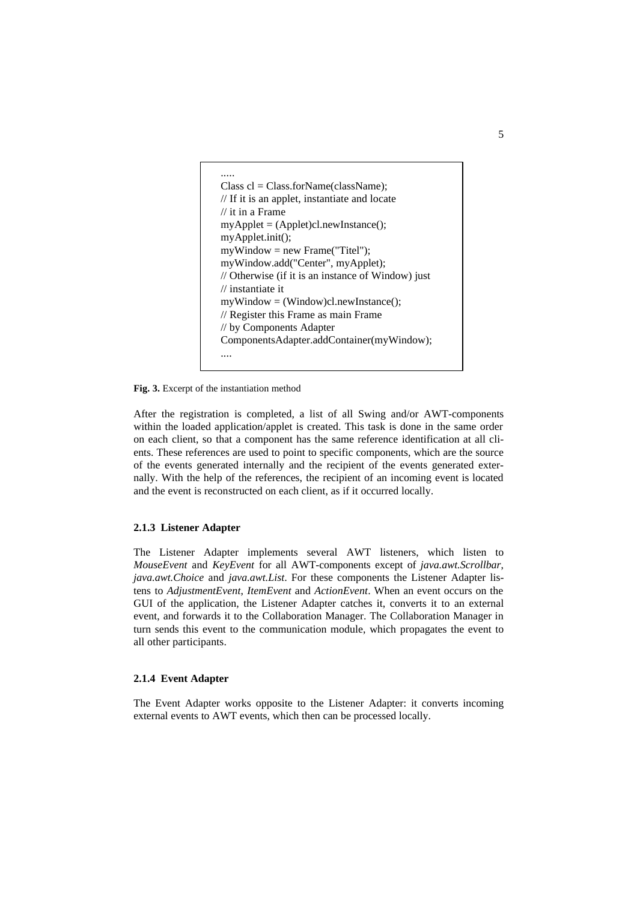

**Fig. 3.** Excerpt of the instantiation method

After the registration is completed, a list of all Swing and/or AWT-components within the loaded application/applet is created. This task is done in the same order on each client, so that a component has the same reference identification at all clients. These references are used to point to specific components, which are the source of the events generated internally and the recipient of the events generated externally. With the help of the references, the recipient of an incoming event is located and the event is reconstructed on each client, as if it occurred locally.

#### **2.1.3 Listener Adapter**

The Listener Adapter implements several AWT listeners, which listen to *MouseEvent* and *KeyEvent* for all AWT-components except of *java.awt.Scrollbar*, *java.awt.Choice* and *java.awt.List*. For these components the Listener Adapter listens to *AdjustmentEvent*, *ItemEvent* and *ActionEvent*. When an event occurs on the GUI of the application, the Listener Adapter catches it, converts it to an external event, and forwards it to the Collaboration Manager. The Collaboration Manager in turn sends this event to the communication module, which propagates the event to all other participants.

#### **2.1.4 Event Adapter**

The Event Adapter works opposite to the Listener Adapter: it converts incoming external events to AWT events, which then can be processed locally.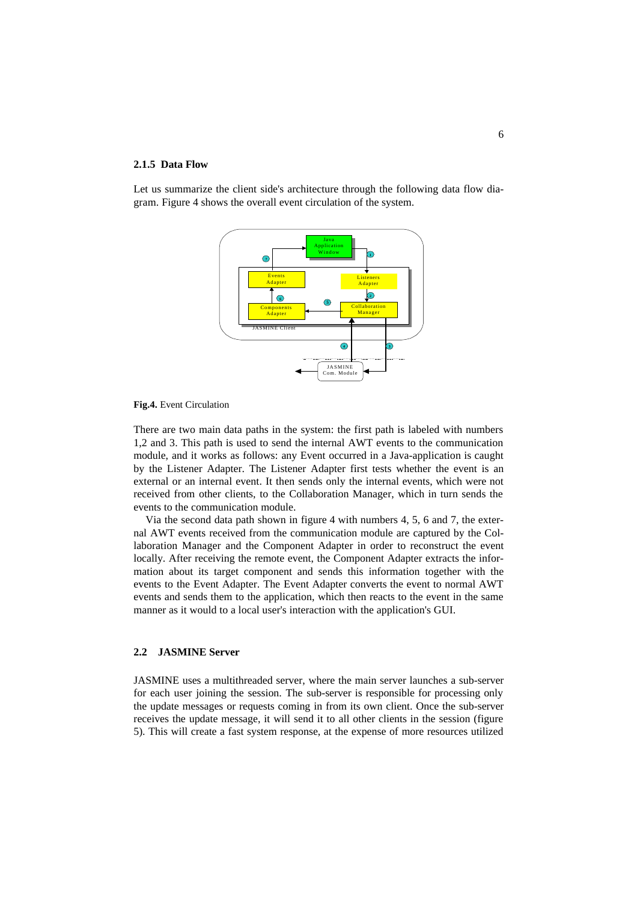#### **2.1.5 Data Flow**

Let us summarize the client side's architecture through the following data flow diagram. Figure 4 shows the overall event circulation of the system.



#### **Fig.4.** Event Circulation

There are two main data paths in the system: the first path is labeled with numbers 1,2 and 3. This path is used to send the internal AWT events to the communication module, and it works as follows: any Event occurred in a Java-application is caught by the Listener Adapter. The Listener Adapter first tests whether the event is an external or an internal event. It then sends only the internal events, which were not received from other clients, to the Collaboration Manager, which in turn sends the events to the communication module.

Via the second data path shown in figure 4 with numbers 4, 5, 6 and 7, the external AWT events received from the communication module are captured by the Collaboration Manager and the Component Adapter in order to reconstruct the event locally. After receiving the remote event, the Component Adapter extracts the information about its target component and sends this information together with the events to the Event Adapter. The Event Adapter converts the event to normal AWT events and sends them to the application, which then reacts to the event in the same manner as it would to a local user's interaction with the application's GUI.

#### **2.2 JASMINE Server**

JASMINE uses a multithreaded server, where the main server launches a sub-server for each user joining the session. The sub-server is responsible for processing only the update messages or requests coming in from its own client. Once the sub-server receives the update message, it will send it to all other clients in the session (figure 5). This will create a fast system response, at the expense of more resources utilized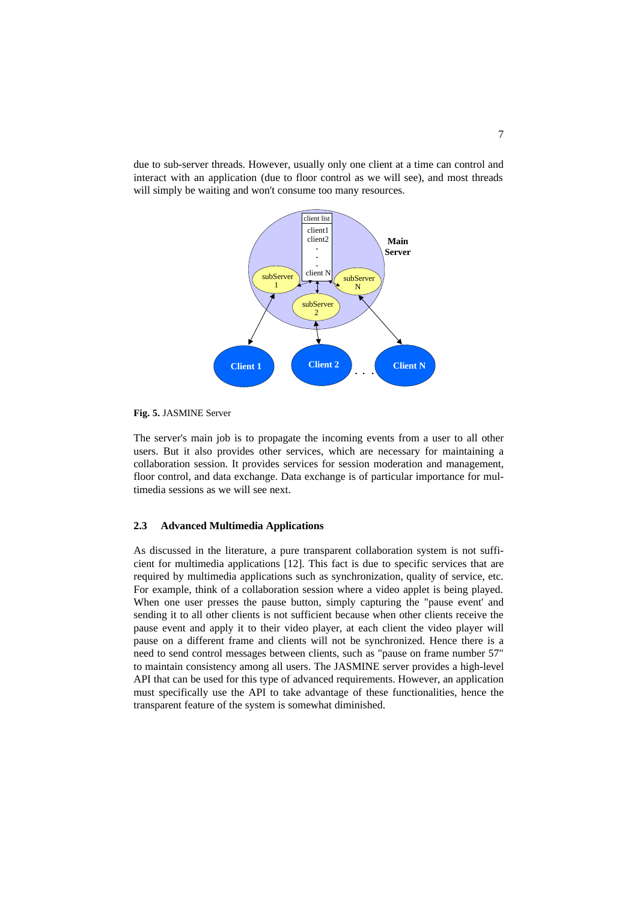due to sub-server threads. However, usually only one client at a time can control and interact with an application (due to floor control as we will see), and most threads will simply be waiting and won't consume too many resources.



**Fig. 5.** JASMINE Server

The server's main job is to propagate the incoming events from a user to all other users. But it also provides other services, which are necessary for maintaining a collaboration session. It provides services for session moderation and management, floor control, and data exchange. Data exchange is of particular importance for multimedia sessions as we will see next.

#### **2.3 Advanced Multimedia Applications**

As discussed in the literature, a pure transparent collaboration system is not sufficient for multimedia applications [12]. This fact is due to specific services that are required by multimedia applications such as synchronization, quality of service, etc. For example, think of a collaboration session where a video applet is being played. When one user presses the pause button, simply capturing the "pause event' and sending it to all other clients is not sufficient because when other clients receive the pause event and apply it to their video player, at each client the video player will pause on a different frame and clients will not be synchronized. Hence there is a need to send control messages between clients, such as "pause on frame number 57" to maintain consistency among all users. The JASMINE server provides a high-level API that can be used for this type of advanced requirements. However, an application must specifically use the API to take advantage of these functionalities, hence the transparent feature of the system is somewhat diminished.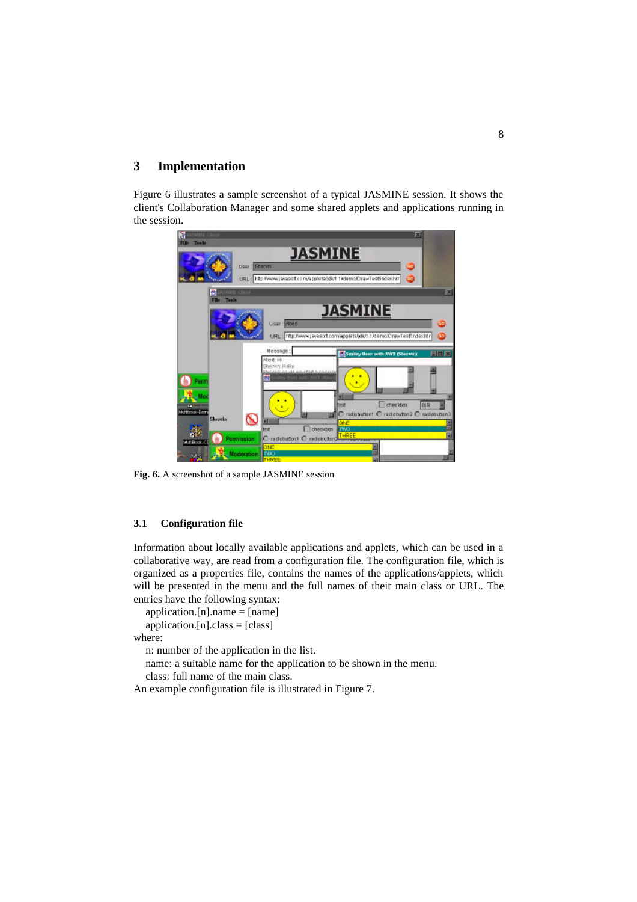# **3 Implementation**

Figure 6 illustrates a sample screenshot of a typical JASMINE session. It shows the client's Collaboration Manager and some shared applets and applications running in the session.



**Fig. 6.** A screenshot of a sample JASMINE session

## **3.1 Configuration file**

Information about locally available applications and applets, which can be used in a collaborative way, are read from a configuration file. The configuration file, which is organized as a properties file, contains the names of the applications/applets, which will be presented in the menu and the full names of their main class or URL. The entries have the following syntax:

application.[n].name = [name]

application.[n].class  $=$  [class]

where:

n: number of the application in the list.

name: a suitable name for the application to be shown in the menu.

class: full name of the main class.

An example configuration file is illustrated in Figure 7.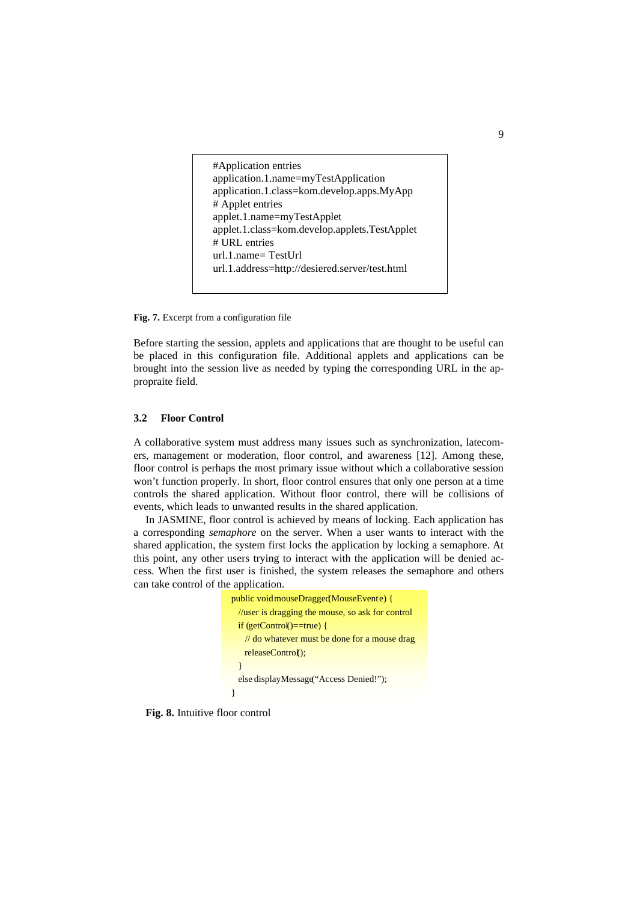#Application entries application.1.name=myTestApplication application.1.class=kom.develop.apps.MyApp # Applet entries applet.1.name=myTestApplet applet.1.class=kom.develop.applets.TestApplet # URL entries url.1.name= TestUrl url.1.address=http://desiered.server/test.html

**Fig. 7.** Excerpt from a configuration file

Before starting the session, applets and applications that are thought to be useful can be placed in this configuration file. Additional applets and applications can be brought into the session live as needed by typing the corresponding URL in the appropraite field.

## **3.2 Floor Control**

A collaborative system must address many issues such as synchronization, latecomers, management or moderation, floor control, and awareness [12]. Among these, floor control is perhaps the most primary issue without which a collaborative session won't function properly. In short, floor control ensures that only one person at a time controls the shared application. Without floor control, there will be collisions of events, which leads to unwanted results in the shared application.

In JASMINE, floor control is achieved by means of locking. Each application has a corresponding *semaphore* on the server. When a user wants to interact with the shared application, the system first locks the application by locking a semaphore. At this point, any other users trying to interact with the application will be denied access. When the first user is finished, the system releases the semaphore and others can take control of the application.

```
public voidmouseDraggedMouseEvente) {
   //user is dragging the mouse, so ask for control
   if (getControl()==true) {
    // do whatever must be done for a mouse drag
   releaseControl();
   }
   else displayMessage("Access Denied!");
}
```
**Fig. 8.** Intuitive floor control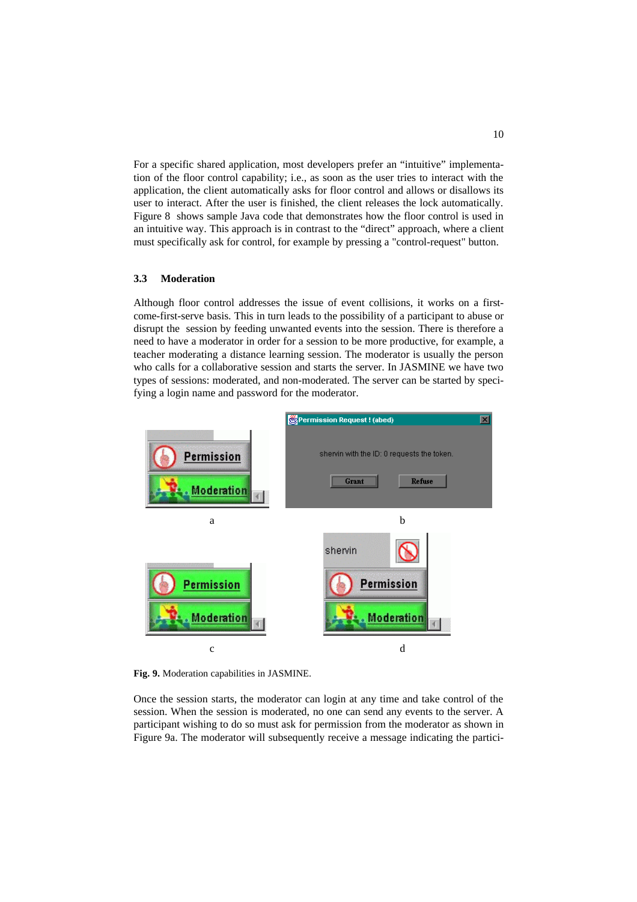For a specific shared application, most developers prefer an "intuitive" implementation of the floor control capability; i.e., as soon as the user tries to interact with the application, the client automatically asks for floor control and allows or disallows its user to interact. After the user is finished, the client releases the lock automatically. Figure 8 shows sample Java code that demonstrates how the floor control is used in an intuitive way. This approach is in contrast to the "direct" approach, where a client must specifically ask for control, for example by pressing a "control-request" button.

#### **3.3 Moderation**

Although floor control addresses the issue of event collisions, it works on a firstcome-first-serve basis. This in turn leads to the possibility of a participant to abuse or disrupt the session by feeding unwanted events into the session. There is therefore a need to have a moderator in order for a session to be more productive, for example, a teacher moderating a distance learning session. The moderator is usually the person who calls for a collaborative session and starts the server. In JASMINE we have two types of sessions: moderated, and non-moderated. The server can be started by specifying a login name and password for the moderator.



**Fig. 9.** Moderation capabilities in JASMINE.

Once the session starts, the moderator can login at any time and take control of the session. When the session is moderated, no one can send any events to the server. A participant wishing to do so must ask for permission from the moderator as shown in Figure 9a. The moderator will subsequently receive a message indicating the partici-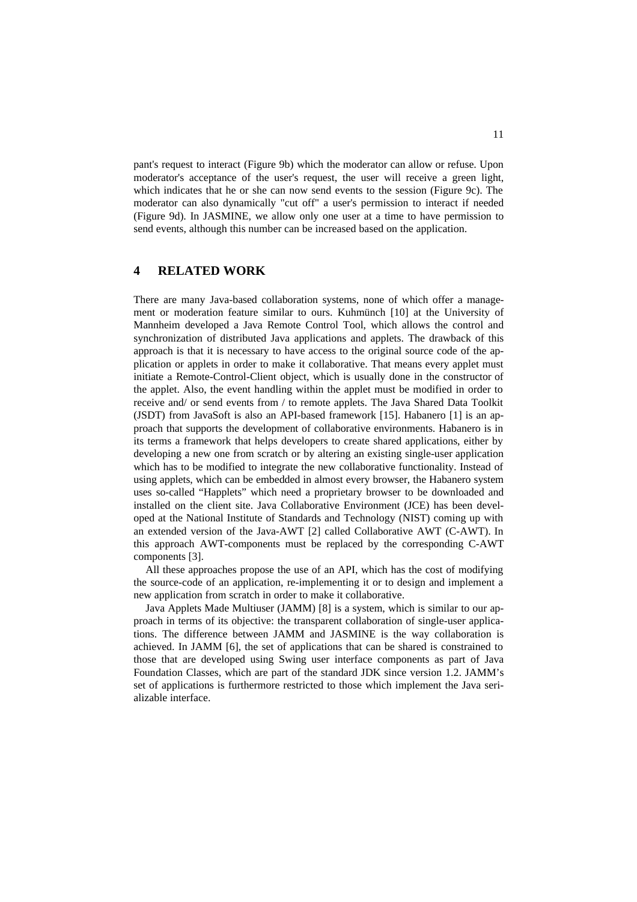pant's request to interact (Figure 9b) which the moderator can allow or refuse. Upon moderator's acceptance of the user's request, the user will receive a green light, which indicates that he or she can now send events to the session (Figure 9c). The moderator can also dynamically "cut off" a user's permission to interact if needed (Figure 9d). In JASMINE, we allow only one user at a time to have permission to send events, although this number can be increased based on the application.

# **4 RELATED WORK**

There are many Java-based collaboration systems, none of which offer a management or moderation feature similar to ours. Kuhmünch [10] at the University of Mannheim developed a Java Remote Control Tool, which allows the control and synchronization of distributed Java applications and applets. The drawback of this approach is that it is necessary to have access to the original source code of the application or applets in order to make it collaborative. That means every applet must initiate a Remote-Control-Client object, which is usually done in the constructor of the applet. Also, the event handling within the applet must be modified in order to receive and/ or send events from / to remote applets. The Java Shared Data Toolkit (JSDT) from JavaSoft is also an API-based framework [15]. Habanero [1] is an approach that supports the development of collaborative environments. Habanero is in its terms a framework that helps developers to create shared applications, either by developing a new one from scratch or by altering an existing single-user application which has to be modified to integrate the new collaborative functionality. Instead of using applets, which can be embedded in almost every browser, the Habanero system uses so-called "Happlets" which need a proprietary browser to be downloaded and installed on the client site. Java Collaborative Environment (JCE) has been developed at the National Institute of Standards and Technology (NIST) coming up with an extended version of the Java-AWT [2] called Collaborative AWT (C-AWT). In this approach AWT-components must be replaced by the corresponding C-AWT components [3].

All these approaches propose the use of an API, which has the cost of modifying the source-code of an application, re-implementing it or to design and implement a new application from scratch in order to make it collaborative.

Java Applets Made Multiuser (JAMM) [8] is a system, which is similar to our approach in terms of its objective: the transparent collaboration of single-user applications. The difference between JAMM and JASMINE is the way collaboration is achieved. In JAMM [6], the set of applications that can be shared is constrained to those that are developed using Swing user interface components as part of Java Foundation Classes, which are part of the standard JDK since version 1.2. JAMM's set of applications is furthermore restricted to those which implement the Java serializable interface.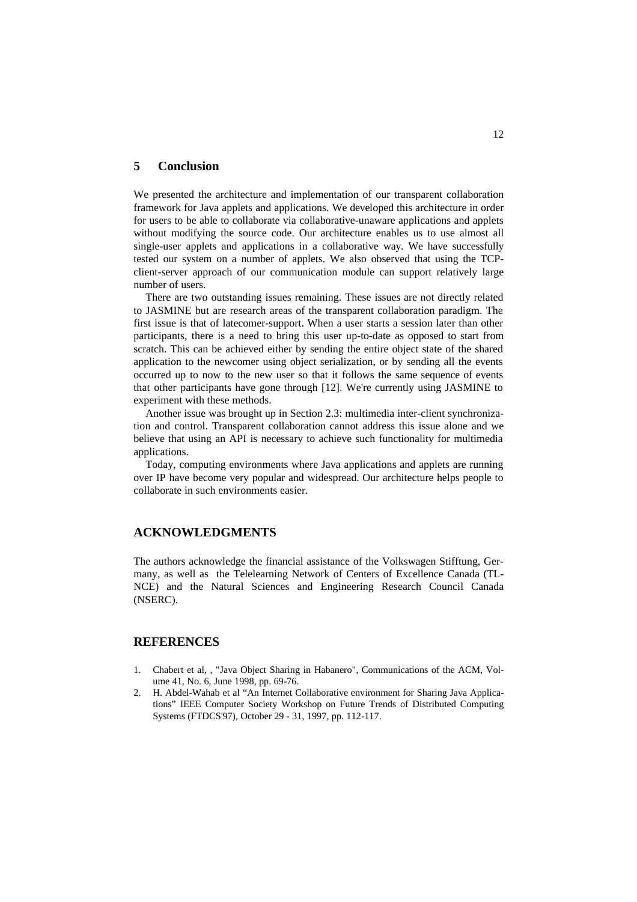## **5 Conclusion**

We presented the architecture and implementation of our transparent collaboration framework for Java applets and applications. We developed this architecture in order for users to be able to collaborate via collaborative-unaware applications and applets without modifying the source code. Our architecture enables us to use almost all single-user applets and applications in a collaborative way. We have successfully tested our system on a number of applets. We also observed that using the TCPclient-server approach of our communication module can support relatively large number of users.

There are two outstanding issues remaining. These issues are not directly related to JASMINE but are research areas of the transparent collaboration paradigm. The first issue is that of latecomer-support. When a user starts a session later than other participants, there is a need to bring this user up-to-date as opposed to start from scratch. This can be achieved either by sending the entire object state of the shared application to the newcomer using object serialization, or by sending all the events occurred up to now to the new user so that it follows the same sequence of events that other participants have gone through [12]. We're currently using JASMINE to experiment with these methods.

Another issue was brought up in Section 2.3: multimedia inter-client synchronization and control. Transparent collaboration cannot address this issue alone and we believe that using an API is necessary to achieve such functionality for multimedia applications.

Today, computing environments where Java applications and applets are running over IP have become very popular and widespread. Our architecture helps people to collaborate in such environments easier.

# **ACKNOWLEDGMENTS**

The authors acknowledge the financial assistance of the Volkswagen Stifftung, Germany, as well as the Telelearning Network of Centers of Excellence Canada (TL-NCE) and the Natural Sciences and Engineering Research Council Canada (NSERC).

## **REFERENCES**

- 1. Chabert et al, , "Java Object Sharing in Habanero", Communications of the ACM, Volume 41, No. 6, June 1998, pp. 69-76.
- 2. H. Abdel-Wahab et al "An Internet Collaborative environment for Sharing Java Applications" IEEE Computer Society Workshop on Future Trends of Distributed Computing Systems (FTDCS'97), October 29 - 31, 1997, pp. 112-117.